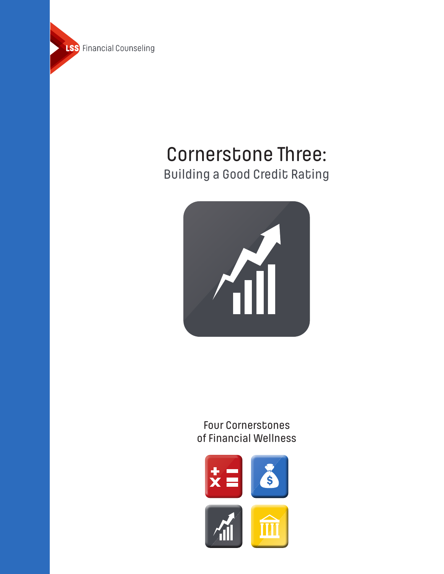

# Building a Good Credit Rating Cornerstone Three:



Four Cornerstones of Financial Wellness

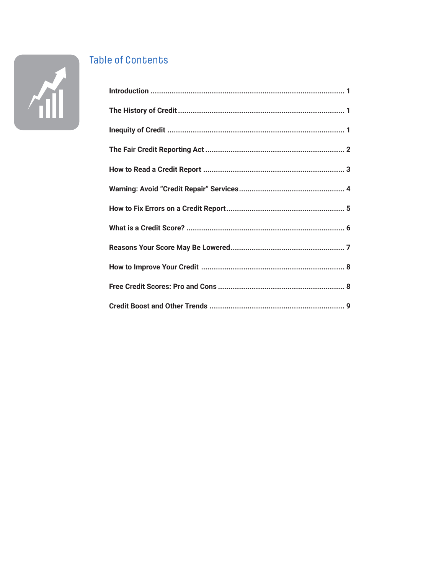

## **Table of Contents**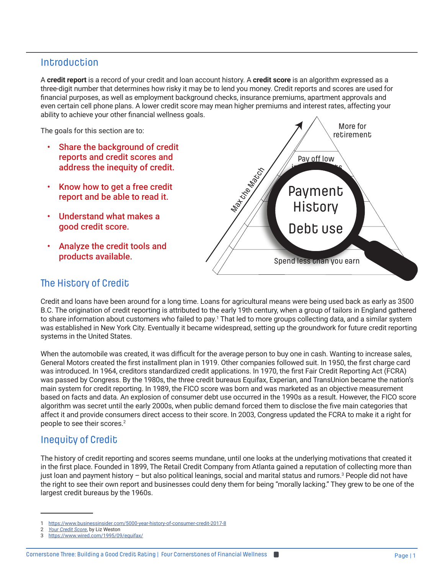## **Introduction**

A **credit report** is a record of your credit and loan account history. A **credit score** is an algorithm expressed as a three-digit number that determines how risky it may be to lend you money. Credit reports and scores are used for financial purposes, as well as employment background checks, insurance premiums, apartment approvals and even certain cell phone plans. A lower credit score may mean higher premiums and interest rates, affecting your ability to achieve your other financial wellness goals.

The goals for this section are to:

- Share the background of credit reports and credit scores and address the inequity of credit.
- Know how to get a free credit report and be able to read it.
- Understand what makes a good credit score.
- Analyze the credit tools and products available.



## The History of Credit

Credit and loans have been around for a long time. Loans for agricultural means were being used back as early as 3500 B.C. The origination of credit reporting is attributed to the early 19th century, when a group of tailors in England gathered to share information about customers who failed to pay.<sup>1</sup> That led to more groups collecting data, and a similar system was established in New York City. Eventually it became widespread, setting up the groundwork for future credit reporting systems in the United States.

When the automobile was created, it was difficult for the average person to buy one in cash. Wanting to increase sales, General Motors created the first installment plan in 1919. Other companies followed suit. In 1950, the first charge card was introduced. In 1964, creditors standardized credit applications. In 1970, the first Fair Credit Reporting Act (FCRA) was passed by Congress. By the 1980s, the three credit bureaus Equifax, Experian, and TransUnion became the nation's main system for credit reporting. In 1989, the FICO score was born and was marketed as an objective measurement based on facts and data. An explosion of consumer debt use occurred in the 1990s as a result. However, the FICO score algorithm was secret until the early 2000s, when public demand forced them to disclose the five main categories that affect it and provide consumers direct access to their score. In 2003, Congress updated the FCRA to make it a right for people to see their scores.2

## Inequity of Credit

The history of credit reporting and scores seems mundane, until one looks at the underlying motivations that created it in the first place. Founded in 1899, The Retail Credit Company from Atlanta gained a reputation of collecting more than just loan and payment history – but also political leanings, social and marital status and rumors.<sup>3</sup> People did not have the right to see their own report and businesses could deny them for being "morally lacking." They grew to be one of the largest credit bureaus by the 1960s.

<sup>1</sup> <https://www.businessinsider.com/5000-year-history-of-consumer-credit-2017-8>

<sup>2</sup> *[Your Credit Score](https://asklizweston.com/lizs-books-2/)*, by Liz Weston

<sup>3</sup> <https://www.wired.com/1995/09/equifax/>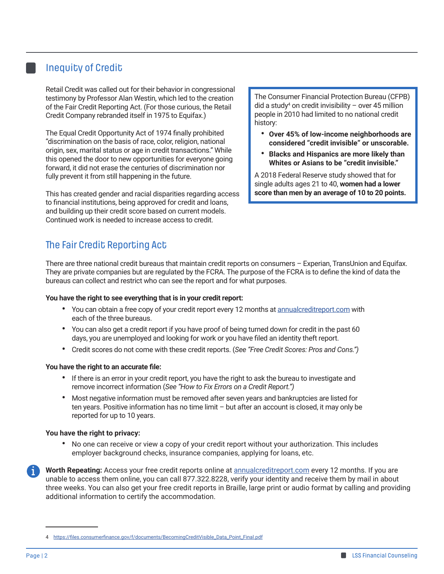## Inequity of Credit

Retail Credit was called out for their behavior in congressional testimony by Professor Alan Westin, which led to the creation of the Fair Credit Reporting Act. (For those curious, the Retail Credit Company rebranded itself in 1975 to Equifax.)

The Equal Credit Opportunity Act of 1974 finally prohibited "discrimination on the basis of race, color, religion, national origin, sex, marital status or age in credit transactions." While this opened the door to new opportunities for everyone going forward, it did not erase the centuries of discrimination nor fully prevent it from still happening in the future.

This has created gender and racial disparities regarding access to financial institutions, being approved for credit and loans, and building up their credit score based on current models. Continued work is needed to increase access to credit.

The Consumer Financial Protection Bureau (CFPB)  $\rm{did}$  a study<sup>4</sup> on credit invisibility – over 45 million people in 2010 had limited to no national credit history:

- **Over 45% of low-income neighborhoods are considered "credit invisible" or unscorable.**
- **Blacks and Hispanics are more likely than Whites or Asians to be "credit invisible."**

A 2018 Federal Reserve study showed that for single adults ages 21 to 40, **women had a lower score than men by an average of 10 to 20 points.** 

## The Fair Credit Reporting Act

There are three national credit bureaus that maintain credit reports on consumers – Experian, TransUnion and Equifax. They are private companies but are regulated by the FCRA. The purpose of the FCRA is to define the kind of data the bureaus can collect and restrict who can see the report and for what purposes.

#### **You have the right to see everything that is in your credit report:**

- You can obtain a free copy of your credit report every 12 months at [annualcreditreport.com](https://www.annualcreditreport.com/index.action) with each of the three bureaus.
- You can also get a credit report if you have proof of being turned down for credit in the past 60 days, you are unemployed and looking for work or you have filed an identity theft report.
- Credit scores do not come with these credit reports. (*See "Free Credit Scores: Pros and Cons.")*

#### **You have the right to an accurate file:**

- **•** If there is an error in your credit report, you have the right to ask the bureau to investigate and remove incorrect information (*See "How to Fix Errors on a Credit Report.")*
- Most negative information must be removed after seven years and bankruptcies are listed for ten years. Positive information has no time limit – but after an account is closed, it may only be reported for up to 10 years.

#### **You have the right to privacy:**

**•** No one can receive or view a copy of your credit report without your authorization. This includes employer background checks, insurance companies, applying for loans, etc.

i **Worth Repeating:** Access your free credit reports online at [annualcreditreport.com](https://www.annualcreditreport.com/index.action) every 12 months. If you are unable to access them online, you can call 877.322.8228, verify your identity and receive them by mail in about three weeks. You can also get your free credit reports in Braille, large print or audio format by calling and providing additional information to certify the accommodation.

<sup>4</sup> [https://files.consumerfinance.gov/f/documents/BecomingCreditVisible\\_Data\\_Point\\_Final.pdf](https://files.consumerfinance.gov/f/documents/BecomingCreditVisible_Data_Point_Final.pdf)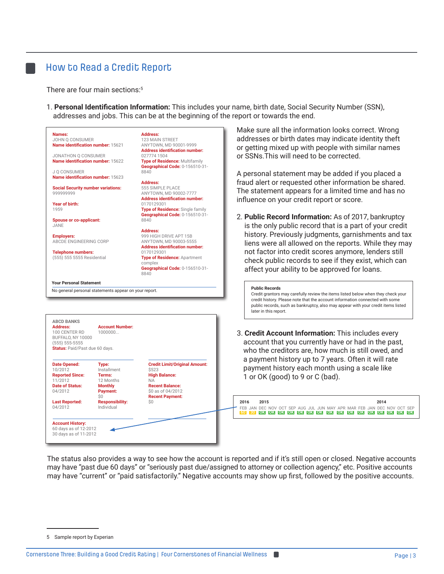#### How to Read a Credit Report

There are four main sections:<sup>5</sup>

1. **Personal Identification Information:** This includes your name, birth date, Social Security Number (SSN), addresses and jobs. This can be at the beginning of the report or towards the end.



The status also provides a way to see how the account is reported and if it's still open or closed. Negative accounts may have "past due 60 days" or "seriously past due/assigned to attorney or collection agency," etc. Positive accounts may have "current" or "paid satisfactorily." Negative accounts may show up first, followed by the positive accounts.

<sup>5</sup> Sample report by Experian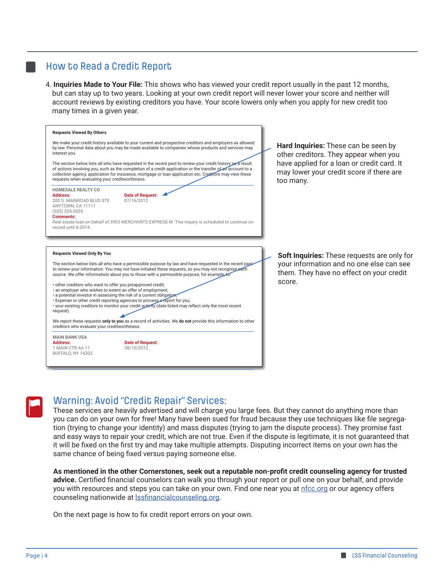## How to Read a Credit Report

4. **Inquiries Made to Your File:** This shows who has viewed your credit report usually in the past 12 months, but can stay up to two years. Looking at your own credit report will never lower your score and neither will account reviews by existing creditors you have. Your score lowers only when you apply for new credit too many times in a given year.





#### Warning: Avoid "Credit Repair" Services:

These services are heavily advertised and will charge you large fees. But they cannot do anything more than you can do on your own for free! Many have been sued for fraud because they use techniques like file segregation (trying to change your identity) and mass disputes (trying to jam the dispute process). They promise fast and easy ways to repair your credit, which are not true. Even if the dispute is legitimate, it is not guaranteed that it will be fixed on the first try and may take multiple attempts. Disputing incorrect items on your own has the same chance of being fixed versus paying someone else.

**As mentioned in the other Cornerstones, seek out a reputable non-profit credit counseling agency for trusted advice.** Certified financial counselors can walk you through your report or pull one on your behalf, and provide you with resources and steps you can take on your own. Find one near you at <u>nfcc.org</u> or our agency offers counseling nationwide at **Issfinancialcounseling.org**.

On the next page is how to fix credit report errors on your own.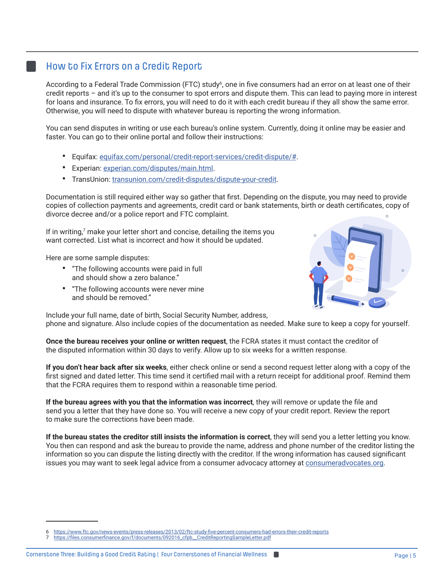#### How to Fix Errors on a Credit Report

According to a Federal Trade Commission (FTC) study<sup>6</sup>, one in five consumers had an error on at least one of their credit reports – and it's up to the consumer to spot errors and dispute them. This can lead to paying more in interest for loans and insurance. To fix errors, you will need to do it with each credit bureau if they all show the same error. Otherwise, you will need to dispute with whatever bureau is reporting the wrong information.

You can send disputes in writing or use each bureau's online system. Currently, doing it online may be easier and faster. You can go to their online portal and follow their instructions:

- Equifax: [equifax.com/personal/credit-report-services/credit-dispute/#](https://www.equifax.com/personal/credit-report-services/credit-dispute/).
- Experian: [experian.com/disputes/main.html.](https://www.experian.com/disputes/main.html)
- TransUnion: [transunion.com/credit-disputes/dispute-your-credit](https://www.transunion.com/credit-disputes/dispute-your-credit).

Documentation is still required either way so gather that first. Depending on the dispute, you may need to provide copies of collection payments and agreements, credit card or bank statements, birth or death certificates, copy of divorce decree and/or a police report and FTC complaint.  $\alpha$ 

If in writing,<sup>7</sup> make your letter short and concise, detailing the items you want corrected. List what is incorrect and how it should be updated.

Here are some sample disputes:

- "The following accounts were paid in full and should show a zero balance."
- "The following accounts were never mine and should be removed."



Include your full name, date of birth, Social Security Number, address, phone and signature. Also include copies of the documentation as needed. Make sure to keep a copy for yourself.

**Once the bureau receives your online or written request**, the FCRA states it must contact the creditor of the disputed information within 30 days to verify. Allow up to six weeks for a written response.

**If you don't hear back after six weeks**, either check online or send a second request letter along with a copy of the first signed and dated letter. This time send it certified mail with a return receipt for additional proof. Remind them that the FCRA requires them to respond within a reasonable time period.

**If the bureau agrees with you that the information was incorrect**, they will remove or update the file and send you a letter that they have done so. You will receive a new copy of your credit report. Review the report to make sure the corrections have been made.

**If the bureau states the creditor still insists the information is correct**, they will send you a letter letting you know. You then can respond and ask the bureau to provide the name, address and phone number of the creditor listing the information so you can dispute the listing directly with the creditor. If the wrong information has caused significant issues you may want to seek legal advice from a consumer advocacy attorney at [consumeradvocates.org](https://www.consumeradvocates.org).

<sup>6</sup> <https://www.ftc.gov/news-events/press-releases/2013/02/ftc-study-five-percent-consumers-had-errors-their-credit-reports>

<sup>7</sup> [https://files.consumerfinance.gov/f/documents/092016\\_cfpb\\_\\_CreditReportingSampleLetter.pdf](https://files.consumerfinance.gov/f/documents/092016_cfpb__CreditReportingSampleLetter.pdf)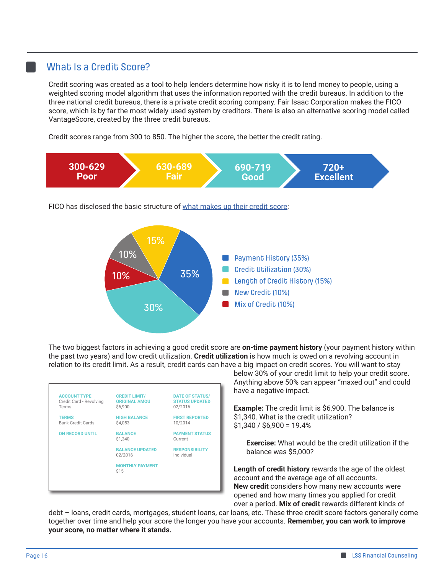#### What Is a Credit Score?

Credit scoring was created as a tool to help lenders determine how risky it is to lend money to people, using a weighted scoring model algorithm that uses the information reported with the credit bureaus. In addition to the three national credit bureaus, there is a private credit scoring company. Fair Isaac Corporation makes the FICO score, which is by far the most widely used system by creditors. There is also an alternative scoring model called VantageScore, created by the three credit bureaus.

Credit scores range from 300 to 850. The higher the score, the better the credit rating.



FICO has disclosed the basic structure of [what makes up their credit score](https://youtu.be/b_xhSnOOa7U):



The two biggest factors in achieving a good credit score are **on-time payment history** (your payment history within the past two years) and low credit utilization. **Credit utilization** is how much is owed on a revolving account in relation to its credit limit. As a result, credit cards can have a big impact on credit scores. You will want to stay



below 30% of your credit limit to help your credit score. Anything above 50% can appear "maxed out" and could have a negative impact.

**Example:** The credit limit is \$6,900. The balance is \$1,340. What is the credit utilization?  $$1,340 / $6,900 = 19.4\%$ 

 **Exercise:** What would be the credit utilization if the balance was \$5,000?

**Length of credit history** rewards the age of the oldest account and the average age of all accounts. **New credit** considers how many new accounts were opened and how many times you applied for credit over a period. **Mix of credit** rewards different kinds of

debt – loans, credit cards, mortgages, student loans, car loans, etc. These three credit score factors generally come together over time and help your score the longer you have your accounts. **Remember, you can work to improve your score, no matter where it stands.**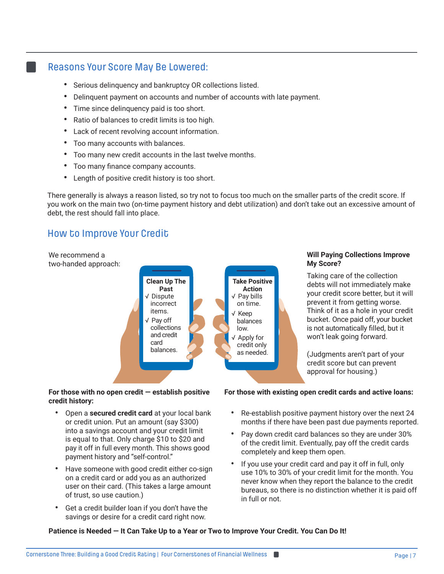#### Reasons Your Score May Be Lowered:

- Serious delinquency and bankruptcy OR collections listed.
- Delinquent payment on accounts and number of accounts with late payment.
- Time since delinquency paid is too short.
- Ratio of balances to credit limits is too high.
- Lack of recent revolving account information.
- Too many accounts with balances.
- Too many new credit accounts in the last twelve months.
- Too many finance company accounts.
- Length of positive credit history is too short.

There generally is always a reason listed, so try not to focus too much on the smaller parts of the credit score. If you work on the main two (on-time payment history and debt utilization) and don't take out an excessive amount of debt, the rest should fall into place.

## How to Improve Your Credit

We recommend a



#### **Will Paying Collections Improve My Score?**

Taking care of the collection debts will not immediately make your credit score better, but it will prevent it from getting worse. Think of it as a hole in your credit bucket. Once paid off, your bucket is not automatically filled, but it won't leak going forward.

(Judgments aren't part of your credit score but can prevent approval for housing.)

#### **For those with no open credit — establish positive credit history:**

- **•** Open a **secured credit card** at your local bank or credit union. Put an amount (say \$300) into a savings account and your credit limit is equal to that. Only charge \$10 to \$20 and pay it off in full every month. This shows good payment history and "self-control."
- **•** Have someone with good credit either co-sign on a credit card or add you as an authorized user on their card. (This takes a large amount of trust, so use caution.)
- **•** Get a credit builder loan if you don't have the savings or desire for a credit card right now.

#### **For those with existing open credit cards and active loans:**

- **•** Re-establish positive payment history over the next 24 months if there have been past due payments reported.
- **•** Pay down credit card balances so they are under 30% of the credit limit. Eventually, pay off the credit cards completely and keep them open.
- **•** If you use your credit card and pay it off in full, only use 10% to 30% of your credit limit for the month. You never know when they report the balance to the credit bureaus, so there is no distinction whether it is paid off in full or not.

**Patience is Needed — It Can Take Up to a Year or Two to Improve Your Credit. You Can Do It!**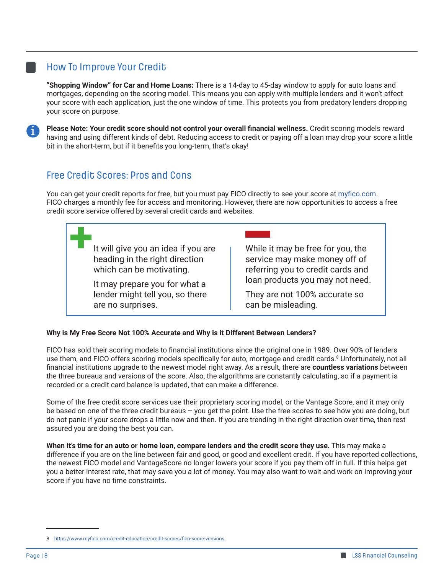## How To Improve Your Credit

**"Shopping Window" for Car and Home Loans:** There is a 14-day to 45-day window to apply for auto loans and mortgages, depending on the scoring model. This means you can apply with multiple lenders and it won't affect your score with each application, just the one window of time. This protects you from predatory lenders dropping your score on purpose.



**Please Note: Your credit score should not control your overall financial wellness.** Credit scoring models reward having and using different kinds of debt. Reducing access to credit or paying off a loan may drop your score a little bit in the short-term, but if it benefits you long-term, that's okay!

## Free Credit Scores: Pros and Cons

You can get your credit reports for free, but you must pay FICO directly to see your score at [myfico.com](https://www.myfico.com). FICO charges a monthly fee for access and monitoring. However, there are now opportunities to access a free credit score service offered by several credit cards and websites.

> It will give you an idea if you are heading in the right direction which can be motivating.

It may prepare you for what a lender might tell you, so there are no surprises.

While it may be free for you, the service may make money off of referring you to credit cards and loan products you may not need.

They are not 100% accurate so can be misleading.

#### **Why is My Free Score Not 100% Accurate and Why is it Different Between Lenders?**

FICO has sold their scoring models to financial institutions since the original one in 1989. Over 90% of lenders use them, and FICO offers scoring models specifically for auto, mortgage and credit cards.8 Unfortunately, not all financial institutions upgrade to the newest model right away. As a result, there are **countless variations** between the three bureaus and versions of the score. Also, the algorithms are constantly calculating, so if a payment is recorded or a credit card balance is updated, that can make a difference.

Some of the free credit score services use their proprietary scoring model, or the Vantage Score, and it may only be based on one of the three credit bureaus – you get the point. Use the free scores to see how you are doing, but do not panic if your score drops a little now and then. If you are trending in the right direction over time, then rest assured you are doing the best you can.

**When it's time for an auto or home loan, compare lenders and the credit score they use.** This may make a difference if you are on the line between fair and good, or good and excellent credit. If you have reported collections, the newest FICO model and VantageScore no longer lowers your score if you pay them off in full. If this helps get you a better interest rate, that may save you a lot of money. You may also want to wait and work on improving your score if you have no time constraints.

<sup>8</sup> <https://www.myfico.com/credit-education/credit-scores/fico-score-versions>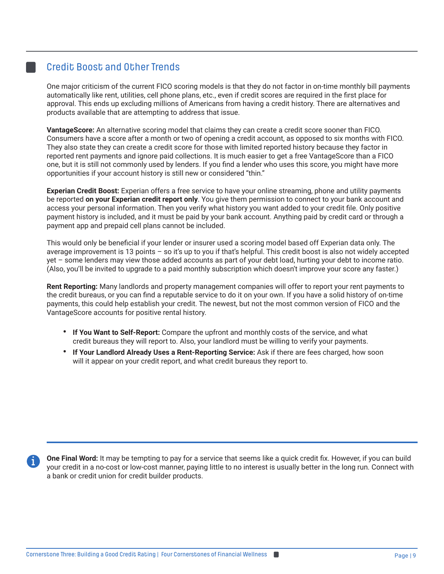## Credit Boost and Other Trends

One major criticism of the current FICO scoring models is that they do not factor in on-time monthly bill payments automatically like rent, utilities, cell phone plans, etc., even if credit scores are required in the first place for approval. This ends up excluding millions of Americans from having a credit history. There are alternatives and products available that are attempting to address that issue.

**VantageScore:** An alternative scoring model that claims they can create a credit score sooner than FICO. Consumers have a score after a month or two of opening a credit account, as opposed to six months with FICO. They also state they can create a credit score for those with limited reported history because they factor in reported rent payments and ignore paid collections. It is much easier to get a free VantageScore than a FICO one, but it is still not commonly used by lenders. If you find a lender who uses this score, you might have more opportunities if your account history is still new or considered "thin."

**Experian Credit Boost:** Experian offers a free service to have your online streaming, phone and utility payments be reported **on your Experian credit report only**. You give them permission to connect to your bank account and access your personal information. Then you verify what history you want added to your credit file. Only positive payment history is included, and it must be paid by your bank account. Anything paid by credit card or through a payment app and prepaid cell plans cannot be included.

This would only be beneficial if your lender or insurer used a scoring model based off Experian data only. The average improvement is 13 points – so it's up to you if that's helpful. This credit boost is also not widely accepted yet – some lenders may view those added accounts as part of your debt load, hurting your debt to income ratio. (Also, you'll be invited to upgrade to a paid monthly subscription which doesn't improve your score any faster.)

**Rent Reporting:** Many landlords and property management companies will offer to report your rent payments to the credit bureaus, or you can find a reputable service to do it on your own. If you have a solid history of on-time payments, this could help establish your credit. The newest, but not the most common version of FICO and the VantageScore accounts for positive rental history.

- **If You Want to Self-Report:** Compare the upfront and monthly costs of the service, and what credit bureaus they will report to. Also, your landlord must be willing to verify your payments.
- **• If Your Landlord Already Uses a Rent-Reporting Service:** Ask if there are fees charged, how soon will it appear on your credit report, and what credit bureaus they report to.

**One Final Word:** It may be tempting to pay for a service that seems like a quick credit fix. However, if you can build your credit in a no-cost or low-cost manner, paying little to no interest is usually better in the long run. Connect with a bank or credit union for credit builder products.

i